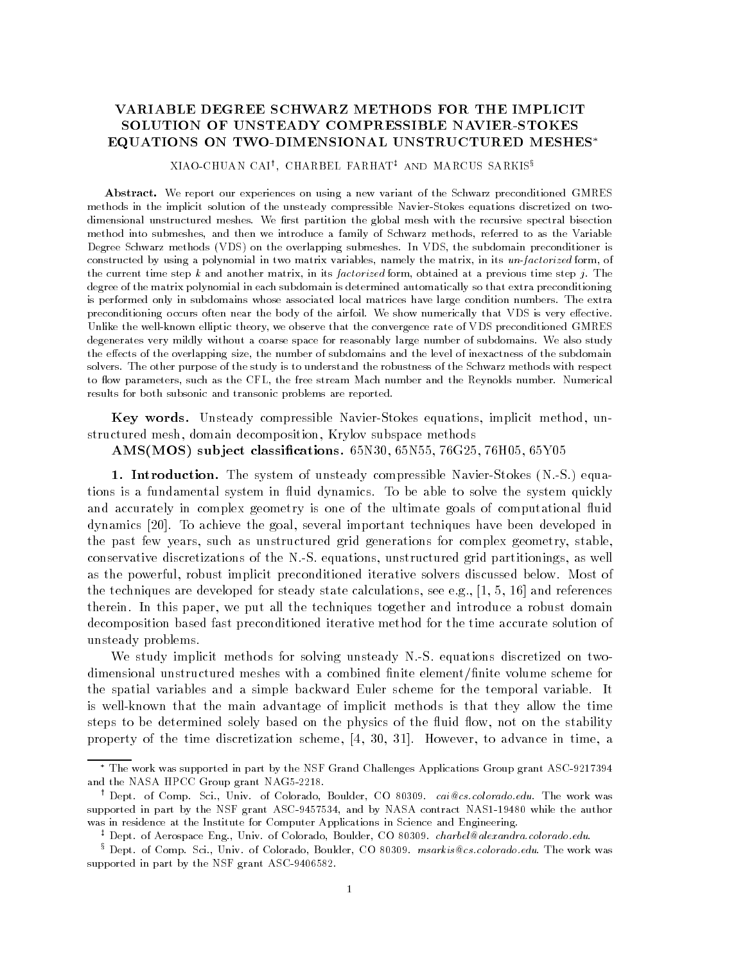# SOLUTION OF UNSTEADY COMPRESSIBLE NAVIER-STOKES EQUATIONS ON TWO-DIMENSIONAL UNSTRUCTURED MESHES\*

#### AIAO-CHUAN CAI', CHARBEL FARHAT' AND MARCUS SARRIS°

Abstract We report our experiences on using a new variant of the Schwarz preconditioned GMRES methods in the implicit solution of the unsteady compressible Navier-Stokes equations discretized on twodimensional unstructured meshes-bisection the global meshes-bisection the global meshes-bisection the recursive method into submeshes, and then we introduce a family of Schwarz methods, referred to as the Variable Degree Schwarz methods VDS on the overlapping submeshes- In VDS the subdomain preconditioner is constructed by using a polynomial in two matrix variables, namely the matrix, in its un-factorized form, of the current time step <sup>k</sup> and another matrix in its factorized form obtained at a previous time step j- The degree of the matrix polynomial in each subdomain is determined automatically so that extra preconditioning is performed only in subdomains whose associated local matrices have large condition numbers- The extra preconditioning occurs often near the body of the airfoil- We show numerically that VDS is very eective-Unlike the well-known elliptic theory, we observe that the convergence rate of VDS preconditioned GMRES degenerates very mildly without a coarse space for reasonably large number of subdomains- We also study the effects of the overlapping size, the number of subdomains and the level of inexactness of the subdomain solvers- The other purpose of the study is to understand the robustness of the Schwarz methods with respect to ow parameters such as the CFL the free stream Mach number and the Reynolds number- Numerical results for both subsonic and transonic problems are reported.

Key words. Unsteady compressible Navier-Stokes equations, implicit method, unstructured mesh, domain decomposition, Krylov subspace methods

### AMS-MOS sub ject classications -N -N -G -H -Y

Introduction The system of understanding compressible NavierStocker (International Stocker) tions is a fundamental system in fluid dynamics. To be able to solve the system quickly and accurately in complex geometry is one of the ultimate goals of computational fluid dynamics [20]. To achieve the goal, several important techniques have been developed in the past few years, such as unstructured grid generations for complex geometry, stable, conservative discretizations of the N.S. equations, unstructured grid partitionings, as well as the powerful, robust implicit preconditioned iterative solvers discussed below. Most of the techniques are developed for steady state calculations see each calculations see each calculations see except therein. In this paper, we put all the techniques together and introduce a robust domain decomposition based fast preconditioned iterative method for the time accurate solution of unsteady problems 

We study implicit methods for solving unsteady N.S. equations discretized on twodimensional unstructured meshes with a combined finite element/finite volume scheme for the spatial variables and a simple backward Euler scheme for the temporal variable. It is wellknown that the main advantage of implicit methods is that they allow the time steps to be determined solely based on the physics of the fluid flow, not on the stability property of the time discretization scheme,  $[4, 30, 31]$ . However, to advance in time, a

The work was supported in part by the NSF Grand Challenges Applications Group grant ASC  and the NASA HPCC Grant NASA HPCC Grant NASA HPCC Grant NASA HPCC Grant NASA HPCC Grant NASA HPCC Grant NAGA H

<sup>&#</sup>x27; Dept. of Comp. Sci., Univ. of Colorado, Boulder, CO 80309*. cai@cs.colorado.edu*. The work was supported in part by the NSF grain Ascar I activity and by NASCA contract NASA contract I and authority of was in residence at the Institute for Computer Applications in Science and Engineering-

<sup>\*</sup> Dept. of Aerospace Eng., Univ. of Colorado, Boulder, CO 80309. *charbel@alexandra.colorado.edu.* 

<sup>°</sup> Dept. of Comp. Sci., Univ. of Colorado, Boulder, CO 80309*. msarkis@cs.colorado.edu*. The work was supported in part by the NSF grant ASC-9406582.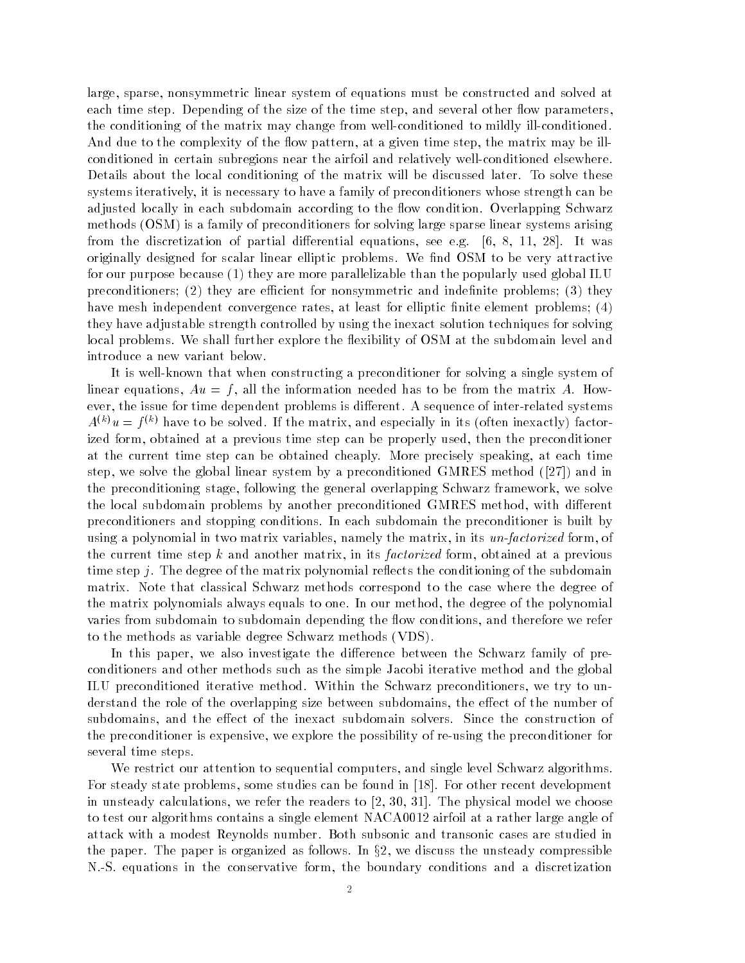large, sparse, nonsymmetric linear system of equations must be constructed and solved at each time step. Depending of the size of the time step, and several other flow parameters, the conditioning of the matrix may change from well-conditioned to mildly ill-conditioned. And due to the complexity of the flow pattern, at a given time step, the matrix may be illconditioned in certain subregions near the airfoil and relatively well-conditioned elsewhere. Details about the local conditioning of the matrix will be discussed later. To solve these systems iteratively it is necessary to have a family of preconditioners whose strength can be adjusted locally in each subdomain according to the flow condition. Overlapping Schwarz methods OSM is a family of preconditioners for solving large sparse linear systems arising from the discretization of partial discretization of particles  $\mathcal{H}$  -matrix see equations see exceptions see exceptions see exceptions see exceptions see exceptions see exceptions of the see exceptions of the see exce originally designed for scalar linear elliptic problems. We find OSM to be very attractive for our purpose because they are more parallelizable than the popularly used global ILU preconditioners they are ecient for nonsymmetric and indenite problems they have mesh independent convergence rates, at least for elliptic finite element problems;  $(4)$ they have adjustable strength controlled by using the inexact solution techniques for solving local problems. We shall further explore the flexibility of OSM at the subdomain level and introduce a new variant below 

It is well-known that when constructing a preconditioner for solving a single system of linear equations,  $Au = f$ , all the information needed has to be from the matrix A. However, the issue for time dependent problems is different. A sequence of inter-related systems  $A^{\vee\vee}u \equiv \iota^{\vee\vee}$  have to be solved. If the matrix, and especially in its (often inexactly) factorized form, obtained at a previous time step can be properly used, then the preconditioner at the current time step can be obtained cheaply. More precisely speaking, at each time step we solve the global linear system by a precondition condition and in  $\{1-\tau\}$  which has the preconditioning stage, following the general overlapping Schwarz framework, we solve the local subdomain problems by another preconditioned GMRES method, with different preconditioners and stopping conditions. In each subdomain the preconditioner is built by using a polynomial in two matrix variables, namely the matrix, in its un-factorized form, of the current time step k and another matrix, in its factorized form, obtained at a previous time step  $j$ . The degree of the matrix polynomial reflects the conditioning of the subdomain matrix. Note that classical Schwarz methods correspond to the case where the degree of the matrix polynomials always equals to one. In our method, the degree of the polynomial varies from subdomain to subdomain depending the flow conditions, and therefore we refer to the methods as variable degree Schwarz methods in 1986 variable variable variable variable variable variable

In this paper, we also investigate the difference between the Schwarz family of preconditioners and other methods such as the simple Jacobi iterative method and the global ILU preconditioned iterative method. Within the Schwarz preconditioners, we try to understand the role of the overlapping size between subdomains, the effect of the number of subdomains, and the effect of the inexact subdomain solvers. Since the construction of the preconditioner is expensive, we explore the possibility of re-using the preconditioner for several time steps 

We restrict our attention to sequential computers, and single level Schwarz algorithms. For steady state problems, some studies can be found in [18]. For other recent development in unsteady calculations, we refer the readers to  $[2, 30, 31]$ . The physical model we choose to test our algorithms contains a single element NACA0012 airfoil at a rather large angle of attack with a modest Reynolds number. Both subsonic and transonic cases are studied in the paper. The paper is organized as follows. In  $\S2$ , we discuss the unsteady compressible N.S. equations in the conservative form, the boundary conditions and a discretization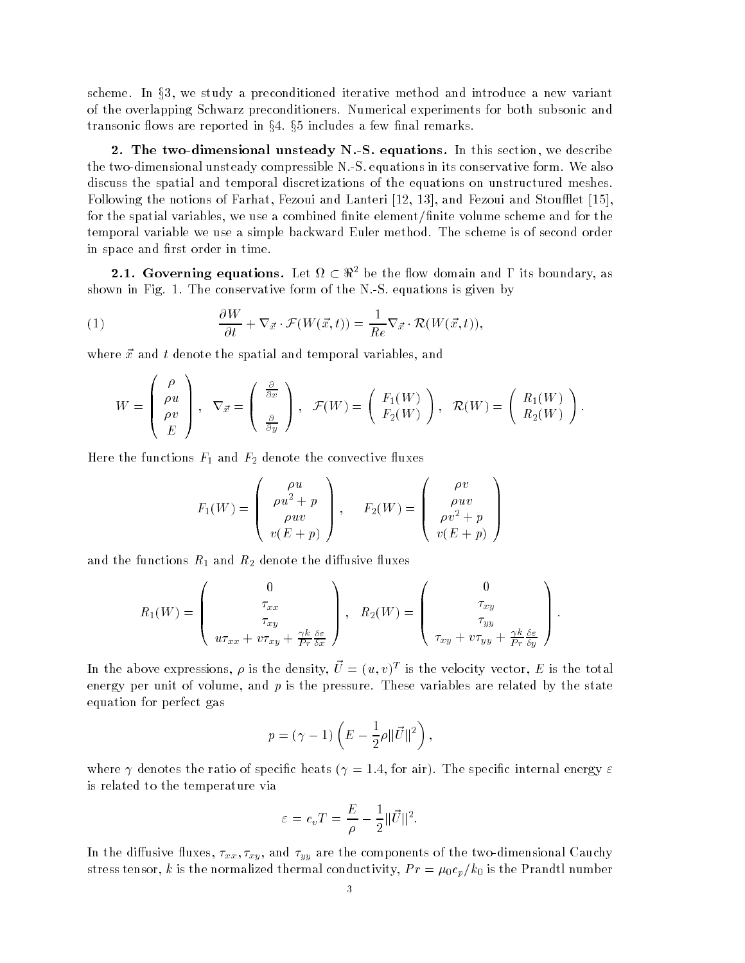scheme. In  $\S 3$ , we study a preconditioned iterative method and introduce a new variant of the overlapping Schwarz preconditioners. Numerical experiments for both subsonic and transonic flows are reported in  $\S 4$ .  $\S 5$  includes a few final remarks.

**2.** The two-dimensional unsteady  $N-S$ , equations. In this section, we describe the two-dimensional unsteady compressible  $N-S$  equations in its conservative form. We also discuss the spatial and temporal discretizations of the equations on unstructured meshes Following the notions of Farhat, Fezoui and Lanteri [12, 13], and Fezoui and Stoufflet [15], for the spatial variables, we use a combined finite element/finite volume scheme and for the temporal variable we use a simple backward Euler method. The scheme is of second order in space and first order in time. Figure 2.1. Governing equations. Let  $\Omega \subset \Re^2$  be the flow domain and  $\Gamma$  its boundary, as

shown in Fig. 1. The conservative form of the N.-S. equations is given by  
\n(1) 
$$
\frac{\partial W}{\partial t} + \nabla_{\vec{x}} \cdot \mathcal{F}(W(\vec{x},t)) = \frac{1}{Re} \nabla_{\vec{x}} \cdot \mathcal{R}(W(\vec{x},t)),
$$

where  $\vec{x}$  and t denote the spatial and temporal variables, and

 $\sim$   $\sim$   $\sim$   $\sim$ 

$$
W = \begin{pmatrix} \rho \\ \rho u \\ \rho v \\ E \end{pmatrix}, \quad \nabla_{\vec{x}} = \begin{pmatrix} \frac{\partial}{\partial x} \\ \frac{\partial}{\partial y} \end{pmatrix}, \quad \mathcal{F}(W) = \begin{pmatrix} F_1(W) \\ F_2(W) \end{pmatrix}, \quad \mathcal{R}(W) = \begin{pmatrix} R_1(W) \\ R_2(W) \end{pmatrix}.
$$

Here the functions F and F- denote the convective uxes

$$
F_1(W) = \begin{pmatrix} \rho u \\ \rho u^2 + p \\ \rho u v \\ v(E + p) \end{pmatrix}, \quad F_2(W) = \begin{pmatrix} \rho v \\ \rho u v \\ \rho v^2 + p \\ v(E + p) \end{pmatrix}
$$

and the functions R  $_1$  and R  $_2$  and the discussions of distributions

$$
R_1(W) = \begin{pmatrix} 0 \\ \tau_{xx} \\ \tau_{xy} \\ u\tau_{xx} + v\tau_{xy} + \frac{\gamma k}{Pr} \frac{\delta \varepsilon}{\delta x} \end{pmatrix}, \quad R_2(W) = \begin{pmatrix} 0 \\ \tau_{xy} \\ \tau_{yy} \\ \tau_{xy} + v\tau_{yy} + \frac{\gamma k}{Pr} \frac{\delta \varepsilon}{\delta y} \end{pmatrix}.
$$

In the above expressions,  $\rho$  is the density,  $U = (u, v)^{-1}$  is the velocity vector,  $E$  is the total energy per unit of volume, and  $p$  is the pressure. These variables are related by the state equation for perfect gas

$$
p = (\gamma - 1) \left( E - \frac{1}{2} \rho \| \vec{U} \|^2 \right),
$$

where  $\mu$  is the species of specifies the specific internal energy  $\mu$  and  $\mu$  and  $\mu$  and  $\mu$  and  $\mu$ is related to the temperature via

$$
\varepsilon = c_v T = \frac{E}{\rho} - \frac{1}{2} ||\vec{U}||^2.
$$

in the dimension in the components of the two two dividends of the components of the two distances of the compo stress tensor, k is the normalized thermal conductivity,  $Pr = \mu_0 c_p / k_0$  is the Prandtl number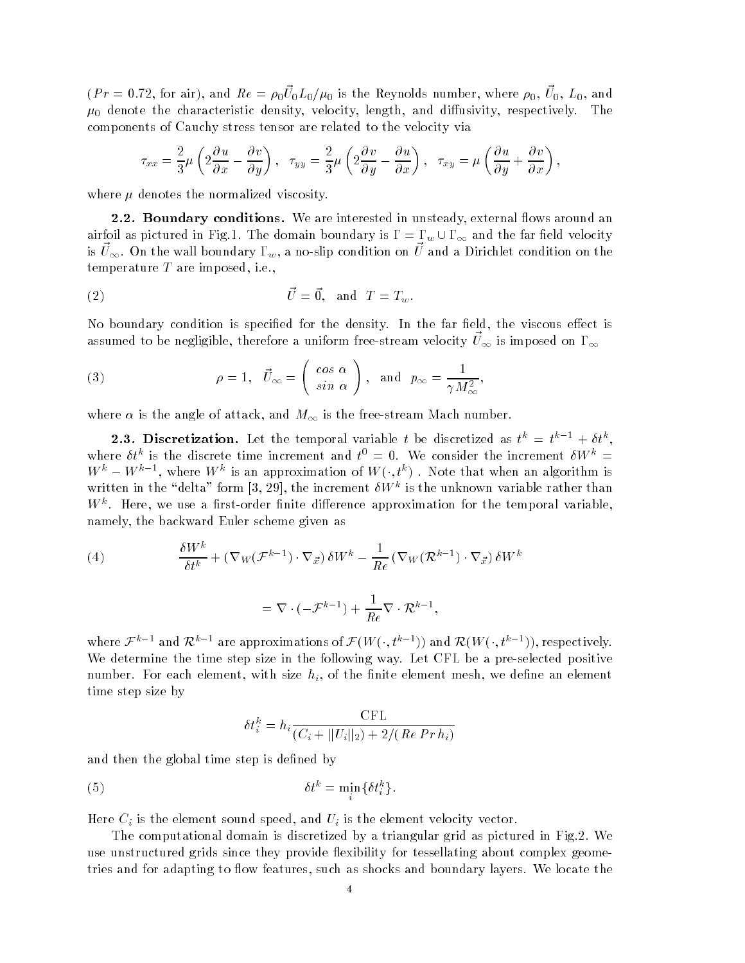$\mu$   $\mu$   $\mu$  = 0.12, for any, and  $\mu$   $\epsilon$  =  $\rho_0 \nu_0 \mu_0 \mu_0$  is the reynolds number, where  $\rho_0$ ,  $\sigma_0$ ,  $\mu_0$ , and  $\mu_0$  denote the characteristic density, velocity, length, and diffusivity, respectively. The components of Cauchy stress tensor are related to the velocity via

$$
\tau_{xx} = \frac{2}{3}\mu \left(2\frac{\partial u}{\partial x} - \frac{\partial v}{\partial y}\right), \quad \tau_{yy} = \frac{2}{3}\mu \left(2\frac{\partial v}{\partial y} - \frac{\partial u}{\partial x}\right), \quad \tau_{xy} = \mu \left(\frac{\partial u}{\partial y} + \frac{\partial v}{\partial x}\right),
$$

where  $\mu$  denotes the normalized viscosity.

**2.2. Boundary conditions.** We are interested in unsteady, external flows around an airfoil as pictured in Fig.1. The domain boundary is  $\Gamma = \Gamma_w \cup \Gamma_\infty$  and the far field velocity is  $\psi_{\infty}$ . On the wan boundary r<sub>w</sub>, a no-slip condition on  $\psi$  and a Dirichlet condition on the temperature  $T$  are imposed, i.e.,

$$
\vec{U} = \vec{0}, \text{ and } T = T_w.
$$

No boundary condition is specified for the density. In the far field, the viscous effect is assumed to be negligible, therefore a uniform free-stream velocity  $\vec{U}_{\infty}$  is imposed on  $\Gamma_{\infty}$ 

(3) 
$$
\rho = 1, \quad \vec{U}_{\infty} = \begin{pmatrix} \cos \alpha \\ \sin \alpha \end{pmatrix}, \text{ and } p_{\infty} = \frac{1}{\gamma M_{\infty}^2},
$$

where  $\sim$  the angle of attack and M is the free the free the free mass and M is the free  $\sim$ 

**2.3. Discretization.** Let the temporal variable t be discretized as  $t^* = t^* + \theta t^*$ , where  $\sigma \tau$  is the discrete time increment and  $\tau = 0$ . We consider the increment  $\sigma \nu \tau =$  $W^k - W^{k-1}$ , where  $W^k$  is an approximation of  $W(\cdot, t^k)$  . Note that when an algorithm is written in the delta form  
 the increment W<sup>k</sup> is the unknown variable rather than  $W^+$ . Here, we use a hist-order limite difference approximation for the temporal variable,  $\,$ 

namely, the backward Euler scheme given as  
\n(4) 
$$
\frac{\delta W^k}{\delta t^k} + (\nabla_W(\mathcal{F}^{k-1}) \cdot \nabla_{\vec{x}}) \delta W^k - \frac{1}{Re} (\nabla_W(\mathcal{R}^{k-1}) \cdot \nabla_{\vec{x}}) \delta W^k
$$
\n
$$
= \nabla \cdot (-\mathcal{F}^{k-1}) + \frac{1}{Re} \nabla \cdot \mathcal{R}^{k-1},
$$

where  $\mathcal{F}^{k-1}$  and  $\mathcal{R}^{k-1}$  are approximations of  $\mathcal{F}(W(\cdot,t^{k-1}))$  and  $\mathcal{R}(W(\cdot,t^{k-1}))$ , respectively. We determine the time step size in the following way. Let CFL be a pre-selected positive number. For each element, with size  $h_i$ , of the finite element mesh, we define an element time step size by

$$
\delta t_i^k = h_i \frac{\text{CFL}}{(C_i + ||U_i||_2) + 2/(Re\,Pr\,h_i)}
$$

and then the global time step is defined by

$$
\delta t^k = \min_i \{ \delta t_i^k \}.
$$

Here  $C_i$  is the element sound speed, and  $U_i$  is the element velocity vector.

The computational domain is discretized by a triangular grid as pictured in Fig.2. We use unstructured grids since they provide flexibility for tessellating about complex geometries and for adapting to flow features, such as shocks and boundary layers. We locate the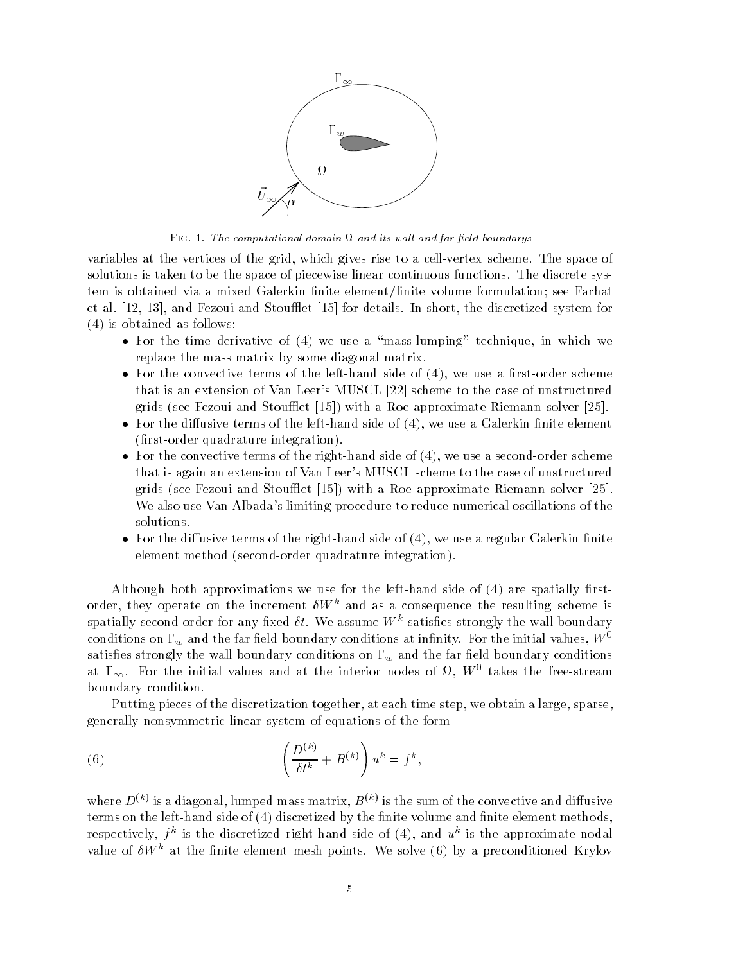

Fig - The computational domain and its wal l and far eld boundarys

variables at the vertices of the grid, which gives rise to a cell-vertex scheme. The space of solutions is taken to be the space of piecewise linear continuous functions. The discrete system is obtained via a mixed Galerkin finite element/finite volume formulation; see Farhat et al.  $[12, 13]$ , and Fezoui and Stoufflet  $[15]$  for details. In short, the discretized system for is obtained as follows

- For the time derivative of we use a masslumping technique in which we replace the mass matrix by some diagonal matrix
- For the convective terms of the lefthand side of we use a rstorder scheme that is an extension of Van Leer's MUSCL [22] scheme to the case of unstructured grids see Fezoui and Stouet  with a Roe approximate Riemann solver
- For the diusive terms of the lefthand side of we use a Galerkin nite element rstorder van de gebouwen integrationelijk
- For the convective terms of the righthand side of the righthand side of the righthand side of the righthand side of the right  $\mu$ that is again an extension of Van Leer's MUSCL scheme to the case of unstructured grids to recent more all stores that  $\mu$  and  $\mu$  are a recent construction and the proton solver  $\mu$ We also use Van Albada's limiting procedure to reduce numerical oscillations of the solutions
- For the diusive terms of the righthand side of we use a regular Galerkin nite element method secondorder quadrature integration

Although both approximations we use for the lefthand side of are spatially rst order, they operate on the increment  $\delta W^k$  and as a consequence the resulting scheme is spatially second-order for any fixed  $\ell\ell$ . We assume  $W$  – satisfies strongly the wall boundary conditions on  $\Gamma_w$  and the far field boundary conditions at infinity. For the initial values,  $W^0$ satisfies strongly the wall boundary conditions on  $\Gamma_w$  and the far field boundary conditions at  $1\infty$ . For the initial values and at the interior nodes of  $M,~W$  , takes the free-stream boundary condition 

Putting pieces of the discretization together, at each time step, we obtain a large, sparse, generally nonsymmetric linear system of equations of the form

(6) 
$$
\left(\frac{D^{(k)}}{\delta t^k} + B^{(k)}\right)u^k = f^k,
$$

where  $D^{\chi\to\gamma}$  is a diagonal, fumped mass matrix,  $D^{\chi\to\gamma}$  is the sum of the convective and diffusive terms on the left mass of and  $\mathbf{u}$  ,  $\mathbf{v}$  and the  $\mathbf{u}$  the nite  $\mathbf{u}$  and  $\mathbf{u}$  and  $\mathbf{u}$ respectively,  $\mu$  is the discretized right-hand side of (4), and  $u$  is the approximate nodal value of  $\theta W^+$  at the niftee element mesh points. We solve (b) by a preconditioned Krylov  $\theta$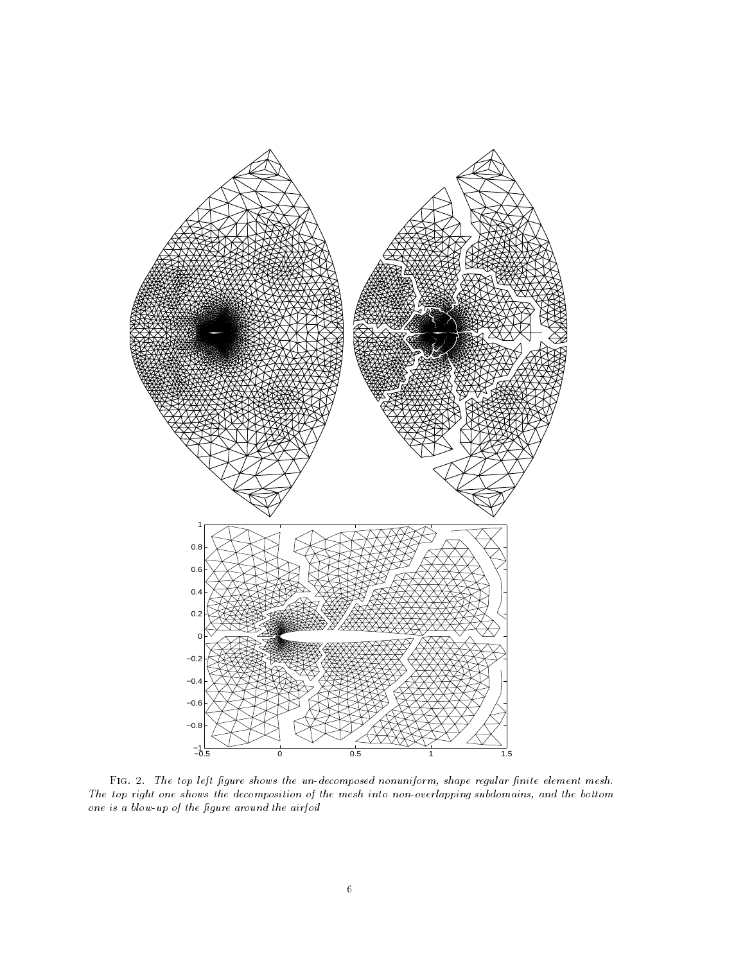

Fig -- The top left gure shows the undecomposed nonuniform shape regular nite element mesh-The top right one shows the decomposition of the mesh into non-overlapping subdomains, and the bottom one is a blow-up of the figure around the airfoil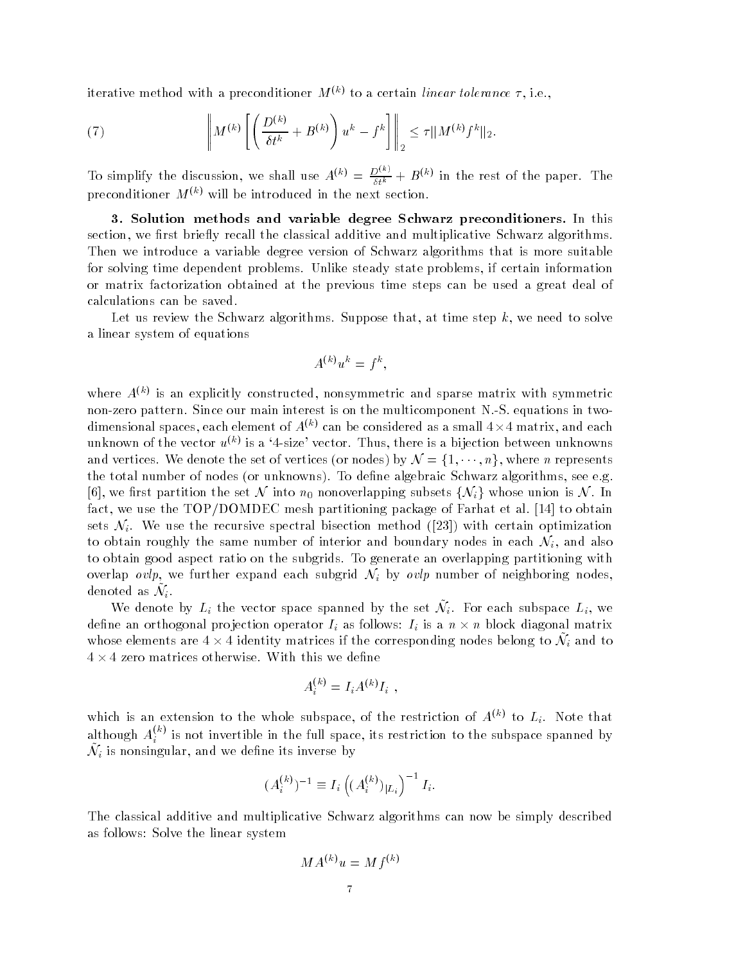iterative method with a preconditioner  $M^{(k)}$  to a certain linear tolerance  $\tau$ , i.e.,

(7) 
$$
\left\| M^{(k)} \left[ \left( \frac{D^{(k)}}{\delta t^k} + B^{(k)} \right) u^k - f^k \right] \right\|_2 \leq \tau \| M^{(k)} f^k \|_2.
$$

To simplify the discussion, we shall use  $A^{(k)} = \frac{D^{(k)}}{\delta t^k} + B^{(k)}$  in the rest of the paper. The preconditioner  $M^{(k)}$  will be introduced in the next section.

3. Solution methods and variable degree Schwarz preconditioners. In this section, we first briefly recall the classical additive and multiplicative Schwarz algorithms. Then we introduce a variable degree version of Schwarz algorithms that is more suitable for solving time dependent problems. Unlike steady state problems, if certain information or matrix factorization obtained at the previous time steps can be used a great deal of calculations can be saved 

Let us review the Schwarz algorithms. Suppose that, at time step  $k$ , we need to solve a linear system of equations

$$
A^{(k)}u^k = f^k,
$$

where  $A^{\vee\vee}$  is an explicitly constructed, nonsymmetric and sparse matrix with symmetric non-zero pattern. Since our main interest is on the multicomponent N.S. equations in twodimensional spaces, each element of  $A^{(k)}$  can be considered as a small  $4\times 4$  matrix, and each unknown of the vector  $u^{\scriptscriptstyle \vee\vee}$  is a 4-size vector. Thus, there is a bijection between unknowns and vertices. We denote the set of vertices (or nodes) by  $\mathcal{N}=\{1,\cdots\}$  $n, n$ , where *n* represents . The total number of the density  $\{ x \in \mathbb{R}^n : x \in \mathbb{R}^n : x \in \mathbb{R}^n : x \in \mathbb{R}^n : x \in \mathbb{R}^n : x \in \mathbb{R}^n : x \in \mathbb{R}^n : x \in \mathbb{R}^n : x \in \mathbb{R}^n : x \in \mathbb{R}^n : x \in \mathbb{R}^n : x \in \mathbb{R}^n : x \in \mathbb{R}^n : x \in \mathbb{R}^n : x \in \mathbb{R}^n : x \in \$ [6], we first partition the set N into  $n_0$  nonoverlapping subsets  $\{N_i\}$  whose union is N. In fact, we use the  $\text{TOP} / \text{DOMDEC}$  mesh partitioning package of Farhat et al. [14] to obtain sets  $\mathcal{N}_i$ . We use the recursive spectral bisection method ([23]) with certain optimization to obtain roughly the same number of interior and boundary nodes in each  $\mathcal{N}_i$ , and also to obtain good aspect ratio on the subgrids To generate an overlapping partitioning with overlap ovlp, we further expand each subgrid  $\mathcal{N}_i$  by ovlp number of neighboring nodes, denoted as  $\mathcal{N}_i.$ 

We denote by  $L_i$  the vector space spanned by the set  $\mathcal{N}_i$ . For each subspace  $L_i$ , we define an orthogonal projection operator  $I_i$  as follows:  $I_i$  is a  $n \times n$  block diagonal matrix whose elements are  $4 \times 4$  identity matrices if the corresponding nodes belong to  $\mathcal{N}_i$  and to  $4 \times 4$  zero matrices otherwise. With this we define

$$
A_i^{(k)} = I_i A^{(k)} I_i ,
$$

which is an extension to the whole subspace, of the restriction of  $A^{(k)}$  to  $L_i$ . Note that although  $A_i^{(+)}$  is not invertible in the full space, its restriction to the subspace spanned by  $\tilde{\mathcal{N}}_i$  is nonsingular, and we define its inverse by

$$
(A_i^{(k)})^{-1} \equiv I_i \left( (A_i^{(k)})_{|L_i} \right)^{-1} I_i.
$$

The classical additive and multiplicative Schwarz algorithms can now be simply described as follows: Solve the linear system

$$
MA^{(k)}u = Mf^{(k)}
$$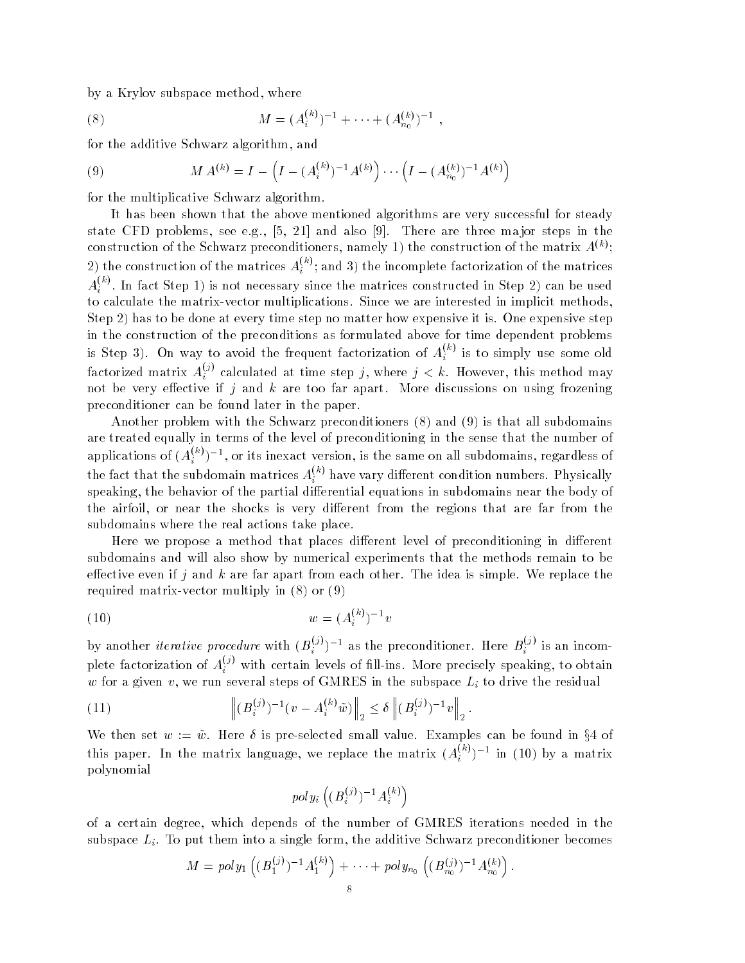by a Krylov subspace method, where

(8) 
$$
M = (A_i^{(k)})^{-1} + \cdots + (A_{n_0}^{(k)})^{-1},
$$

for the additive Schwarz algorithm, and

(9) 
$$
M A^{(k)} = I - \left( I - (A_i^{(k)})^{-1} A^{(k)} \right) \cdots \left( I - (A_{n_0}^{(k)})^{-1} A^{(k)} \right)
$$

for the multiplicative Schwarz algorithm 

It has been shown that the above mentioned algorithms are very successful for steady state CFD problems, see e.g.,  $[5, 21]$  and also [9]. There are three major steps in the construction of the Schwarz preconditioners, namely 1) the construction of the matrix  $A^{\alpha\gamma};$ 2) the construction of the matrices  $A_i^{\infty}$ ; and 3) the incomplete factorization of the matrices  $i \rightarrow$  $A_i^{\scriptscriptstyle (\gamma)}$  . In fact Step 1) is not necessary since the matrices constructed in Step 2) can be used to calculate the matrix-vector multiplications. Since we are interested in implicit methods, Step has to be done at every time step no matter how expensive it is One expensive step in the construction of the preconditions as formulated above for time dependent problems is Step 3). On way to avoid the frequent factorization of  $A_i^{\sim}$  is to simply use some old factorized matrix  $A_i^{(j)}$  calculated at time step  $j,$  where  $j < k.$  However, this method may not be very effective if j and k are too far apart. More discussions on using frozening preconditioner can be found later in the paper 

another problem with the Schwarz preconditioners ( ) when ( ) and which has all subdomains of are treated equally in terms of the level of preconditioning in the sense that the number of applications of  $(A_i^{(n)})^{-1},$  or its inexact version, is the same on all subdomains, regardless of the fact that the subdomain matrices  $A_i^{\scriptscriptstyle (\gamma)}$  have vary different condition numbers. Physically speaking, the behavior of the partial differential equations in subdomains near the body of the airfoil, or near the shocks is very different from the regions that are far from the subdomains where the real actions take place 

Here we propose a method that places different level of preconditioning in different subdomains and will also show by numerical experiments that the methods remain to be effective even if j and k are far apart from each other. The idea is simple. We replace the required matrix in the contract of the contract of the contract of the contract of the contract of the contract of the contract of the contract of the contract of the contract of the contract of the contract of the contrac

(10) 
$$
w = (A_i^{(k)})^{-1}v
$$

by another *iterative procedure* with  $(B_i^{(s)})^{-1}$  as the preconditioner. Here  $B_i^{(s)}$  is an incomplete factorization of  $A_i^{(j)}$  with certain levels of fill-ins. More precisely speaking, to obtain w for a given v, we run several steps of GMRES in the subspace  $L_i$  to drive the residual

(11) 
$$
\left\| (B_i^{(j)})^{-1} (v - A_i^{(k)} \tilde{w}) \right\|_2 \le \delta \left\| (B_i^{(j)})^{-1} v \right\|_2.
$$

We then set  $w := \tilde{w}$ . Here  $\delta$  is pre-selected small value. Examples can be found in §4 of this paper. In the matrix language, we replace the matrix  $(A_i^{(2)})^{-1}$  in (10) by a matrix polynomial

$$
poly_i\left((B_i^{(j)})^{-1}A_i^{(k)}\right)
$$

of a certain degree which depends of the number of GMRES iterations needed in the subspace  $L_i$ . To put them into a single form, the additive Schwarz preconditioner becomes

$$
M = poly_1\left( (B_1^{(j)})^{-1}A_1^{(k)} \right) + \cdots + poly_{n_0}\left( (B_{n_0}^{(j)})^{-1}A_{n_0}^{(k)} \right).
$$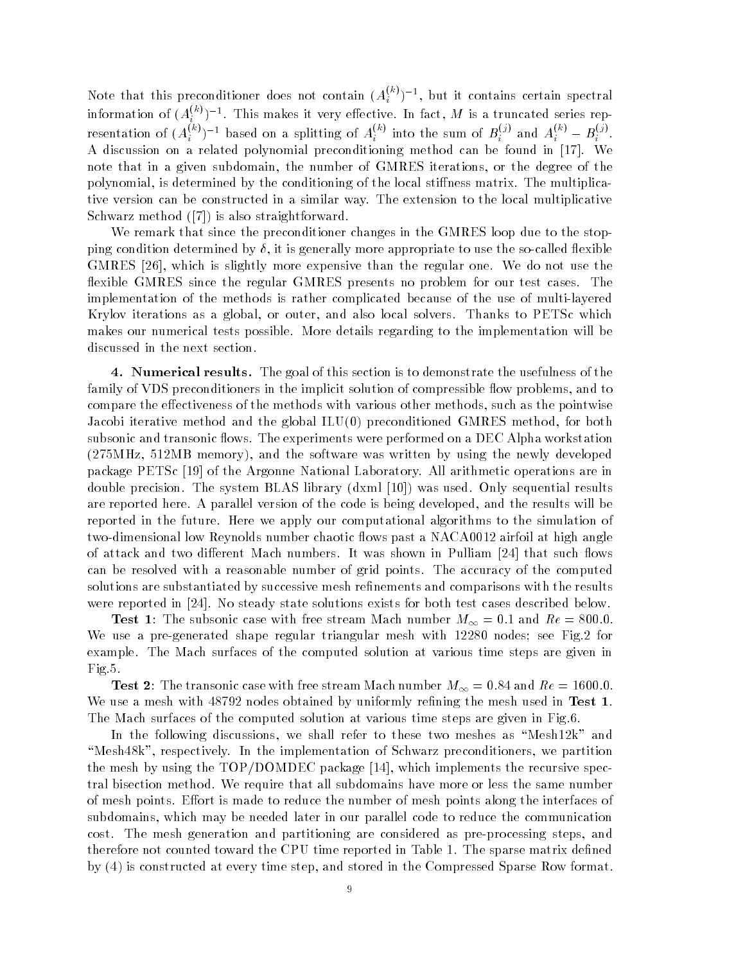Note that this preconditioner does not contain  $(A_i^{(m)})^{-1}$ , but it contains certain spectral information of  $(A_i^{(m)})^{-1}$ . This makes it very effective. In fact, M is a truncated series rep<sup>i</sup> resentation of  $(A_i^{(k)})^{-1}$  based on a splitting of  $A_i^{(k)}$  into the sum of  $B_i^{(j)}$  and  $A_i^{(k)} - B_i^{(j)}$ . A discussion on a related polynomial preconditioning method can be found in [17]. We note that in a given subdomain, the number of GMRES iterations, or the degree of the polynomial, is determined by the conditioning of the local stiffness matrix. The multiplicative version can be constructed in a similar way. The extension to the local multiplicative  $\mathbb{R}$  straightforward method in the straightforward  $\mathbb{R}$  . The straightforward method is also straightforward method in the straight of the straight of the straight of the straight of the straight of the straight o

We remark that since the preconditioner changes in the GMRES loop due to the stop ping condition determined by  $\delta$ , it is generally more appropriate to use the so-called flexible GMRES - which is slightly more expensive than the regular one We do not use the flexible GMRES since the regular GMRES presents no problem for our test cases. The implementation of the methods is rather complicated because of the use of multi-layered Krylov iterations as a global, or outer, and also local solvers. Thanks to PETSc which makes our numerical tests possible. More details regarding to the implementation will be discussed in the next section 

4. Numerical results. The goal of this section is to demonstrate the usefulness of the family of VDS preconditioners in the implicit solution of compressible flow problems, and to compare the effectiveness of the methods with various other methods, such as the pointwise Jacobi iterative method and the global ILU preconditioned GMRES method for both subsonic and transonic flows. The experiments were performed on a DEC Alpha workstation MHz MB memory and the software was written by using the newly developed package PETSc [19] of the Argonne National Laboratory. All arithmetic operations are in as was precisions which is precise models was used a precise propy when the sequential results in the complete are reported here. A parallel version of the code is being developed, and the results will be reported in the future. Here we apply our computational algorithms to the simulation of two-dimensional low Reynolds number chaotic flows past a NACA0012 airfoil at high angle of attack and two different Mach numbers. It was shown in Pulliam [24] that such flows can be resolved with a reasonable number of grid points. The accuracy of the computed solutions are substantiated by successive mesh refinements and comparisons with the results were reported in  $[24]$ . No steady state solutions exists for both test cases described below.

**Test 1**: The subsonic case with free stream Mach number  $M_{\infty} = 0.1$  and  $Re = 800.0$ . We use a pre-generated shape regular triangular mesh with  $12280$  nodes; see Fig.2 for example. The Mach surfaces of the computed solution at various time steps are given in Fig.5.

The transposition free stream Mach number  $\mathsf{W}$  and  $\mathsf{H}$  is the stream Mach number  $\mathsf{W}$ We use a mesh with  $48792$  nodes obtained by uniformly refining the mesh used in Test 1. The machinest surfaces of the computed solution at various times  $\alpha$  various  $\alpha$  -  $\alpha$  -  $\alpha$ 

In the following discussions, we shall refer to these two meshes as "Mesh $12k$ " and "Mesh48k", respectively. In the implementation of Schwarz preconditioners, we partition the mesh by using the  $TOP/DOMDEC$  package [14], which implements the recursive spectral bisection method. We require that all subdomains have more or less the same number of mesh points. Effort is made to reduce the number of mesh points along the interfaces of subdomains, which may be needed later in our parallel code to reduce the communication cost. The mesh generation and partitioning are considered as pre-processing steps, and therefore not counted toward the CPU time reported in Table 1. The sparse matrix defined by is constructed at every time step and stored in the Compressed Sparse Row format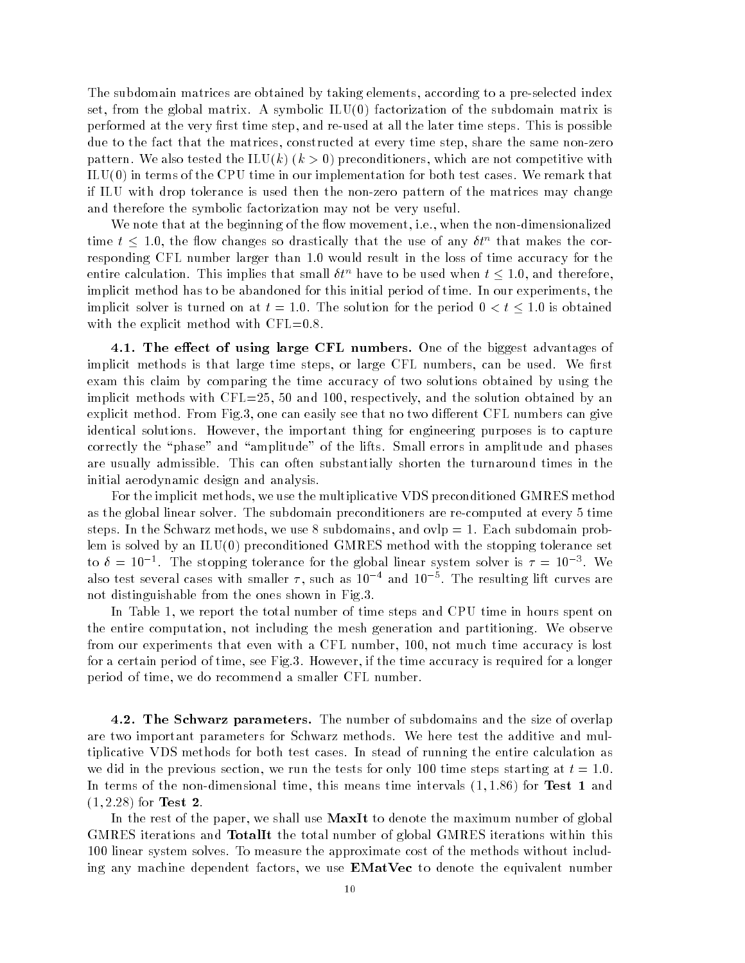The subdomain matrices are obtained by taking elements, according to a pre-selected index set from the global matrix is symbolic in the subdomain matrix is the subdomain matrix is the subdomain performed at the very first time step, and re-used at all the later time steps. This is possible due to the fact that the matrices, constructed at every time step, share the same non-zero patterns with the ILUK and ILUK ILUK are ILUK and ILUK are not competitive with a set of the competitive with ILU in terms of the CPU time in our implementation for both test cases We remark that if ILU with drop tolerance is used then the nonzero pattern of the matrices may change and therefore the symbolic factorization may not be very useful 

We note that at the beginning of the flow movement, i.e., when the non-dimensionalized time  $t \leq 1.0$ , the flow changes so drastically that the use of any  $\delta t^n$  that makes the corresponding CFL number larger than 1.0 would result in the loss of time accuracy for the entire calculation. This implies that small  $\delta t^n$  have to be used when  $t \leq 1.0$ , and therefore, implicit method has to be abandoned for this initial period of time. In our experiments, the implicit solver is turned on at  $t = 1.0$ . The solution for the period  $0 < t \leq 1.0$  is obtained with the explicit method with  $\text{CFL}=0.8$ .

4.1. The effect of using large CFL numbers. One of the biggest advantages of implicit methods is that large time steps, or large CFL numbers, can be used. We first exam this claim by comparing the time accuracy of two solutions obtained by using the implicit methods with  $\text{CFL}=25, 50$  and 100, respectively, and the solution obtained by an explicit method. From Fig.3, one can easily see that no two different CFL numbers can give identical solutions. However, the important thing for engineering purposes is to capture correctly the "phase" and "amplitude" of the lifts. Small errors in amplitude and phases are usually admissible. This can often substantially shorten the turnaround times in the initial aerodynamic design and analysis 

For the implicit methods, we use the multiplicative VDS preconditioned GMRES method as the global linear solver. The subdomain preconditioners are re-computed at every 5 time steps. In the Schwarz methods, we use 8 subdomains, and  $ovlp = 1$ . Each subdomain problem is solved by an ILU preconditioned GMRES method with the stopping tolerance set to  $v = 10^{-7}$ . The stopping tolerance for the global linear system solver is  $\tau = 10^{-7}$ . We also test several cases with smaller  $\tau,$  such as  $10$  – and  $10$  – . The resulting int curves are not distinguishable from the ones shown in Fig 

In Table 1, we report the total number of time steps and CPU time in hours spent on the entire computation, not including the mesh generation and partitioning. We observe from our experiments that even with a CFL number, 100, not much time accuracy is lost for a certain period of time, see Fig.3. However, if the time accuracy is required for a longer period of time, we do recommend a smaller CFL number.

4.2. The Schwarz parameters. The number of subdomains and the size of overlap are two important parameters for Schwarz methods. We here test the additive and multiplicative VDS methods for both test cases In stead of running the entire calculation as we did in the previous section, we run the tests for only 100 time steps starting at  $t = 1.0$ . In terms of the nondimensional time this means time intervals - - for Test and  $\mathbf{f}$  for  $\mathbf{f}$  for  $\mathbf{f}$  for  $\mathbf{f}$ 

In the rest of the paper, we shall use  $MaxIt$  to denote the maximum number of global GMRES iterations and TotalIt the total number of global GMRES iterations within this 100 linear system solves. To measure the approximate cost of the methods without including any machine dependent factors, we use  $EMatVec$  to denote the equivalent number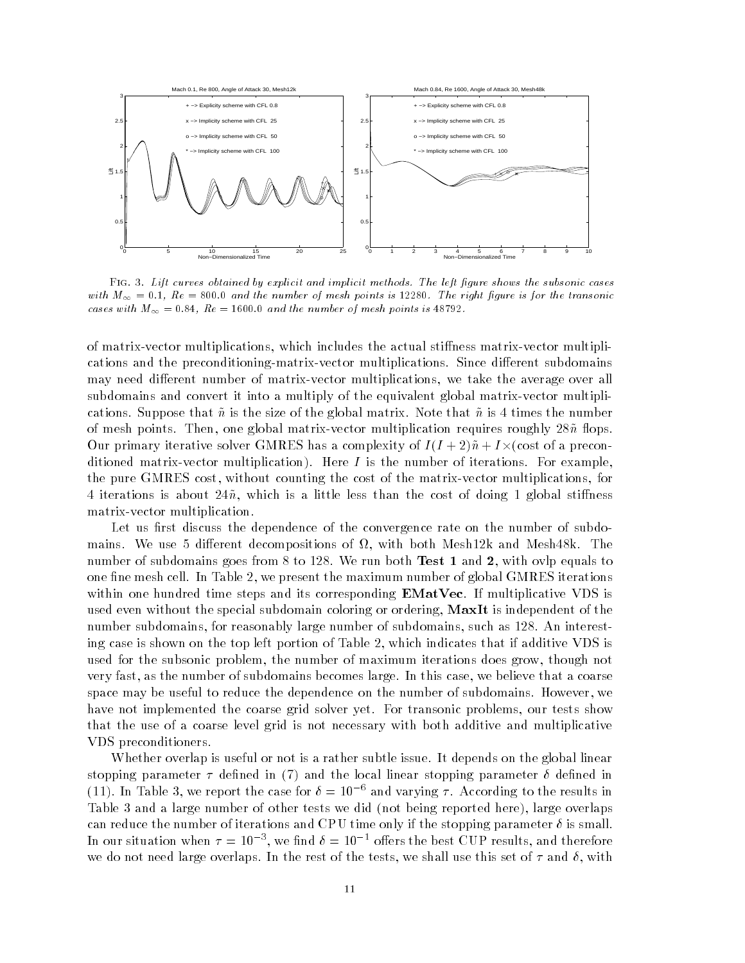

Fig - Lift curves obtained by explicit and implicit methods- The left gure shows the subsonic cases with M  $_{\rm W}$  , they are constructed the transferred points is added to and transferred the transpective const cases with M  $\omega$  and the number of mesh points is mesh points in the set of  $\omega$ 

of matrix-vector multiplications, which includes the actual stiffness matrix-vector multiplications and the preconditioning-matrix-vector multiplications. Since different subdomains may need different number of matrix-vector multiplications, we take the average over all subdomains and convert it into a multiply of the equivalent global matrix-vector multiplications. Suppose that  $\tilde{n}$  is the size of the global matrix. Note that  $\tilde{n}$  is 4 times the number of mesh points. Then, one global matrix-vector multiplication requires roughly  $28\tilde{n}$  flops. Our primary iterative solver GMRES has a complexity of  $I(I+2)\tilde{n}+I\times$  (cost of a preconditioned matrixvector multiplication multiplication multiplications of iterations  $\mathbb{F}_q$ the pure GMRES cost, without counting the cost of the matrix-vector multiplications, for 4 iterations is about  $24\tilde{n}$ , which is a little less than the cost of doing 1 global stiffness matrix-vector multiplication.

Let us first discuss the dependence of the convergence rate on the number of subdomains. We use 5 different decompositions of  $\Omega$ , with both Mesh12k and Mesh48k. The number of subdomains goes from 8 to 128. We run both Test 1 and 2, with ovlp equals to one fine mesh cell. In Table 2, we present the maximum number of global GMRES iterations within one hundred time steps and its corresponding  $EMatVec$ . If multiplicative VDS is used even without the special subdomain coloring or ordering, **MaxIt** is independent of the number subdomains, for reasonably large number of subdomains, such as 128. An interesting case is shown on the top left portion of Table 2, which indicates that if additive VDS is used for the subsonic problem, the number of maximum iterations does grow, though not very fast, as the number of subdomains becomes large. In this case, we believe that a coarse space may be useful to reduce the dependence on the number of subdomains. However, we have not implemented the coarse grid solver yet. For transonic problems, our tests show that the use of a coarse level grid is not necessary with both additive and multiplicative VDS preconditioners 

Whether overlap is useful or not is a rather subtle issue. It depends on the global linear stopping parameter dened in and the local linear stopping parameter dened in (11). In Table 5, we report the case for  $v = 10^{-3}$  and varying 7. According to the results in Table and a large number of other tests we did not being reported here large overlaps can reduce the number of iterations and CPU time only if the stopping parameter  $\delta$  is small. In our situation when  $\tau = 10^{-7}$ , we find  $\theta = 10^{-7}$  oners the best CUP results, and therefore we do not need large overlaps. In the rest of the tests, we shall use this set of  $\tau$  and  $\delta$ , with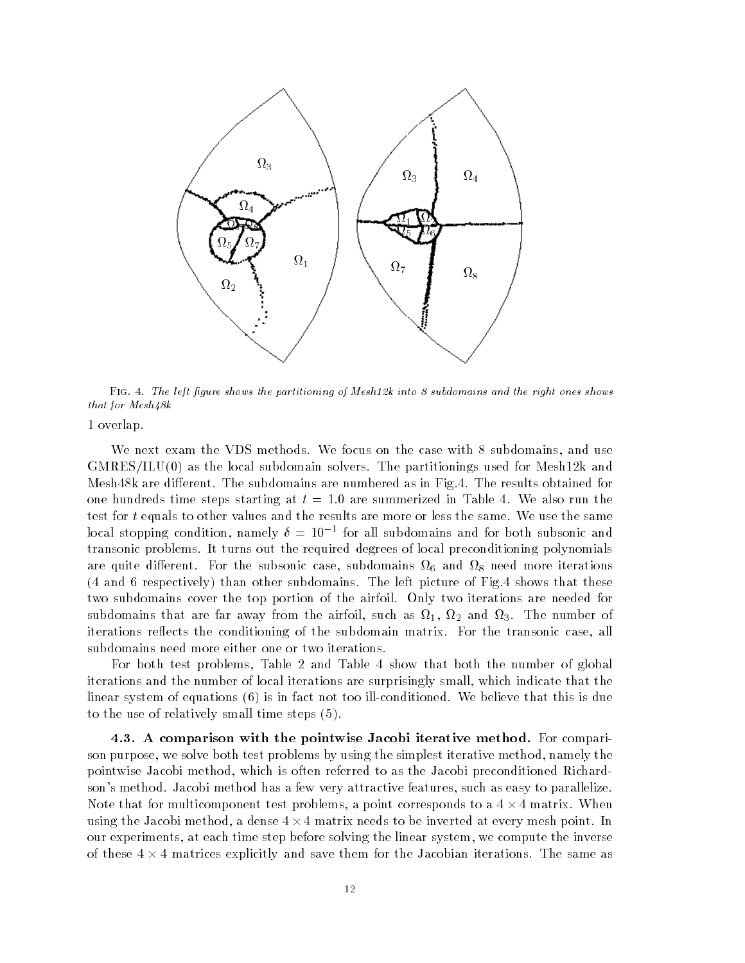

Fig - The left gure shows the partitioning of Meshk into subdomains and the right ones shows that for  $Mesh48k$ 

1 overlap.

We next exam the VDS methods. We focus on the case with 8 subdomains, and use GMRESILU as the local subdomain solvers The partitionings used for Meshk and Mesh $48k$  are different. The subdomains are numbered as in Fig.4. The results obtained for one hundreds time steps starting at  $t = 1.0$  are summerized in Table 4. We also run the test for  $t$  equals to other values and the results are more or less the same. We use the same focal stopping condition, hamely  $v = 10$  – for all subdomains and for both subsonic and transonic problems. It turns out the required degrees of local preconditioning polynomials are quite dierent case subsonic case subsonic case subdomains  $\mathbf{u}$  and  $\mathbf{u}$ and the subdomains of the subdomains of the left picture of  $\mathcal{A}$  subdomains the subdomains that the shows that the left picture of  $\mathcal{A}$ two subdomains cover the top portion of the airfoil. Only two iterations are needed for subdomains that are far away from the air from the air  $\alpha$  -from the air  $\alpha$  -from the number of  $\alpha$ iterations reflects the conditioning of the subdomain matrix. For the transonic case, all subdomains need more either one or two iterations 

For both test problems, Table 2 and Table 4 show that both the number of global iterations and the number of local iterations are surprisingly small, which indicate that the linear system of equations ( ) is in fact not to an example that the same  $\cdots$  and  $\cdots$ to the use of relatively small time steps (a).

4.3. A comparison with the pointwise Jacobi iterative method. For comparison purpose, we solve both test problems by using the simplest iterative method, namely the pointwise Jacobi method, which is often referred to as the Jacobi preconditioned Richardson's method. Jacobi method has a few very attractive features, such as easy to parallelize. Note that for multicomponent test problems, a point corresponds to a  $4 \times 4$  matrix. When using the Jacobi method, a dense  $4 \times 4$  matrix needs to be inverted at every mesh point. In our experiments, at each time step before solving the linear system, we compute the inverse of these  $4 \times 4$  matrices explicitly and save them for the Jacobian iterations. The same as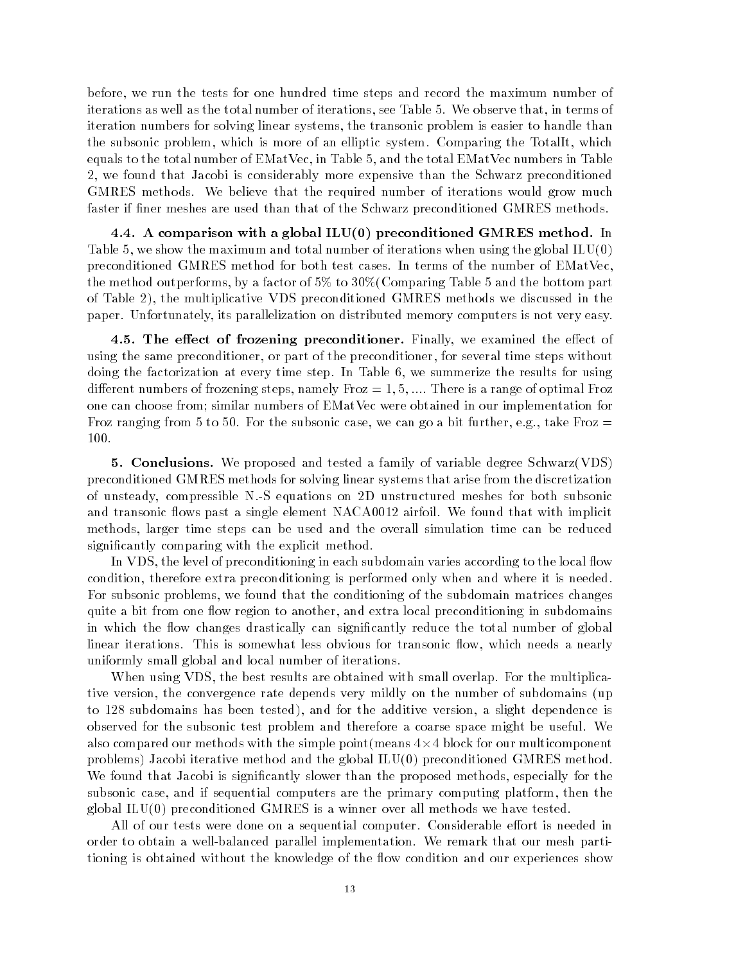before, we run the tests for one hundred time steps and record the maximum number of iterations as well as the total number of iterations, see Table 5. We observe that, in terms of iteration numbers for solving linear systems the transonic problem is easier to handle than the subsonic problem, which is more of an elliptic system. Comparing the TotalIt, which equals to the total number of  $EMatVec$ , in Table 5, and the total  $EMatVec$  numbers in Table 2, we found that Jacobi is considerably more expensive than the Schwarz preconditioned GMRES methods. We believe that the required number of iterations would grow much faster if finer meshes are used than that of the Schwarz preconditioned GMRES methods.

a comparison with a global ILU-Latin International International International Co Table 5, we show the maximum and total number of iterations when using the global  $LU(0)$ preconditioned GMRES method for both test cases. In terms of the number of EMatVec, the method outperforms, by a factor of  $5\%$  to  $30\%$  Comparing Table 5 and the bottom part of Table the multiplicative VDS preconditioned GMRES methods we discussed in the paper. Unfortunately, its parallelization on distributed memory computers is not very easy.

4.5. The effect of frozening preconditioner. Finally, we examined the effect of using the same preconditioner, or part of the preconditioner, for several time steps without doing the factorization at every time step  $\mathbf{f}$  in Table -  $\mathbf{f}$ dierent numbers of frozening steps namely Froz - - There is a range of optimal Froz one can choose from; similar numbers of EMatVec were obtained in our implementation for Froz ranging from 5 to 50. For the subsonic case, we can go a bit further, e.g., take Froz  $=$ 100.

**5. Conclusions.** We proposed and tested a family of variable degree Schwarz(VDS) preconditioned GMRES methods for solving linear systems that arise from the discretization of unsteady compressible N S equations on D unstructured meshes for both subsonic and transonic flows past a single element NACA0012 airfoil. We found that with implicit methods larger time steps can be used and the overall simulation time can be reduced significantly comparing with the explicit method.

In VDS, the level of preconditioning in each subdomain varies according to the local flow condition, therefore extra preconditioning is performed only when and where it is needed. For subsonic problems, we found that the conditioning of the subdomain matrices changes quite a bit from one flow region to another, and extra local preconditioning in subdomains in which the flow changes drastically can significantly reduce the total number of global linear iterations. This is somewhat less obvious for transonic flow, which needs a nearly uniformly small global and local number of iterations 

When using VDS, the best results are obtained with small overlap. For the multiplicative version, the convergence rate depends very mildly on the number of subdomains (up to subdomains the additional tested  $\mathcal{A}_1$  and the addition is slight dependence in the additional test of observed for the subsonic test problem and therefore a coarse space might be useful. We also compared our methods with the simple point (means  $4 \times 4$  block for our multicomponent problems Jacobi iterative method and the global ILU preconditioned GMRES method We found that Jacobi is significantly slower than the proposed methods, especially for the subsonic case, and if sequential computers are the primary computing platform, then the global ILU preconditioned GMRES is a winner over all methods we have tested 

All of our tests were done on a sequential computer. Considerable effort is needed in order to obtain a well-balanced parallel implementation. We remark that our mesh partitioning is obtained without the knowledge of the flow condition and our experiences show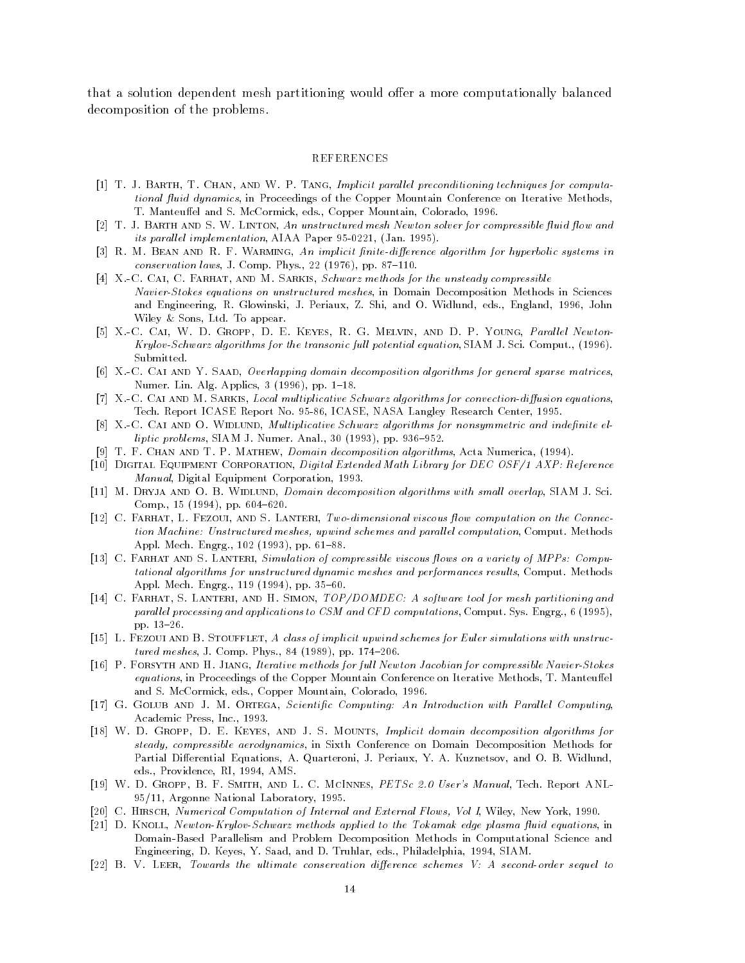that a solution dependent mesh partitioning would offer a more computationally balanced decomposition of the problems 

## REFERENCES

- T J Barth T Channel December 1999 Implicit parallel parallel parallel preconditioning techniques for computation tional fluid dynamics, in Proceedings of the Copper Mountain Conference on Iterative Methods, T- Manteuel and S- McCormick eds- Copper Mountain Colorado -
- [2]  $T. J. BARTH AND S. W. LINTON, An unstructured mesh Newton solver for compressible fluid flow and$ its parallel implementation and all appears to all the many components of the state of  $\mathcal{L}_1$
- R M Bean and R F Warming An implicit nitedi erence algorithm for hyperbolic systems in conservation laws J- Comp- Phys- pp- -
- [4] X.-C. CAI, C. FARHAT, AND M. SARKIS, Schwarz methods for the unsteady compressible Navier-Stokes equations on unstructured meshes, in Domain Decomposition Methods in Sciences and Engineering R- Statistics, Italianski Ethiopis, And O-Chinanova, India, Engineeri, Alliand India. Wiley and the sons Ltd-Construction of the sons Ltd-Construction of the sons Ltd-Construction of the Sons Ltd-
- [5] X.-C. CAI, W. D. GROPP, D. E. KEYES, R. G. MELVIN, AND D. P. YOUNG, Parallel Newton-KrylovSchwarz algorithms for the transonic ful l potential equation SIAM J- Sci- Comput- -Submitted.
- $[6]$  X.-C. CAI AND Y. SAAD, Overlapping domain decomposition algorithms for general sparse matrices, numer-and-application-and-application-and-application-and-application-and-application-and-application-and-application-
- $\mathcal{U} = \mathcal{U}$  and M Sarkis Local multiplicative Schwarz algorithms for convections for convex  $\mathcal{U}$ Tech- Report ICASE Report No- ICASE NASA Langley Research Center -
- [8] X.-C. CAI AND O. WIDLUND, Multiplicative Schwarz algorithms for nonsymmetric and indefinite el- $\mathcal{L}$  and  $\mathcal{L}$  and  $\mathcal{L}$  and  $\mathcal{L}$  and  $\mathcal{L}$  and  $\mathcal{L}$  and  $\mathcal{L}$  and  $\mathcal{L}$  and  $\mathcal{L}$  and  $\mathcal{L}$  and  $\mathcal{L}$  and  $\mathcal{L}$  and  $\mathcal{L}$  and  $\mathcal{L}$  and  $\mathcal{L}$  and  $\mathcal{L}$  and  $\mathcal{L}$  and
- The component of the Channel Component and The Changes and The Channel Component algorithms Acta Numerica Numerica A
- Digital Equipment Corporation Digital Extended Math Library for DEC OSF AXP Reference Manual Digital Equipment Corporation -
- M Dryja and O B Widlund Domain decomposition algorithms with smal l overlap SIAM J- Sciexperience the complex of the complex of the complex of the complex of the complex of the complex of the complex of the complex of the complex of the complex of the complex of the complex of the complex of the complex of t
- $\Box$  Farhat L Fezoui and S Lanteri Two computational viscous  $\Box$  on the Connection on the Connection on the Connection on the Connection on the Connection on the Connection on the Connection on the Connection on the Conn tion Machine Unstructured meshes upwind schemes and paral lel computation Comput- Methods Appl- Mech- Engrg-  pp- -
- $\Box$  Farhat and S Lanteri Simulation of computation of  $\Box$  viscous  $\Box$  viscous on a variety of  $\Box$ tational algorithms for unstructured dynamic meshes and performances results Comput- Methods  $\blacksquare$  . The matrix of the matrix of the matrix of the matrix of the matrix of the matrix of the matrix of the matrix of the matrix of the matrix of the matrix of the matrix of the matrix of the matrix of the matrix of th
- re s and H Simon Top S Lantering S Lands S Lands S Lands A software to software to the form of the mesh partitioning and the paral lel processing and applications to CSM and CFD computations Comput- Sys- Engrg-  $\blacksquare$  . The contract of the contract of the contract of the contract of the contract of the contract of the contract of the contract of the contract of the contract of the contract of the contract of the contract of the
- Let a stout a stout a stout and stought a class of implicity upwind studies for Euler simulations with unstruc tured meshes J- Comp- Phys- 
 pp- -
- P Forsyth and H Jiang Iterative methods for ful l Newton Jacobian for compressible NavierStokes equations in Proceedings of the Copper Mountain Conference on Iterative Methods T- Manteuel and S- McCormick eds- Copper Mountain Colorado -
- $\blacksquare$  Golub and J M Ortega Scientic Computing An International lel Computing An International lel Computing An International leads and  $\blacksquare$ Academic Press Inc- -
- was and we were allowed the second interesting and the second decomposition algorithms for steady, compressible aerodynamics, in Sixth Conference on Domain Decomposition Methods for Partial Dierential Equations A- Quarteroni J- Periaux Y- A- Kuznetsov and O- B- Widlund eds-RI eds-RI eds-RI eds-RI eds-RI eds-RI eds-RI eds-RI eds-RI eds-RI eds-RI eds-RI eds-RI eds-RI eds-RI eds-R
- , and we went to work and the state of the state of the state and the state of the state of the state of the s Argonne National Laboratory -
- C Hirsch Numerical Computation of Internal and External Flows Vol I Wiley New York -
- D Knoll NewtonKrylovSchwarz methods applied to the Tokamak edge plasma uid equations in Domain-Based Parallelism and Problem Decomposition Methods in Computational Science and engineering B- Sich and D- Siam- B- Siam- Sich and D- Siam- B- Siam- B- Siam- B- Siam- B- Siam- B- Siam- B- Si
- B V Leer Towards the ultimate conservation di erence schemes V A secondorder sequel to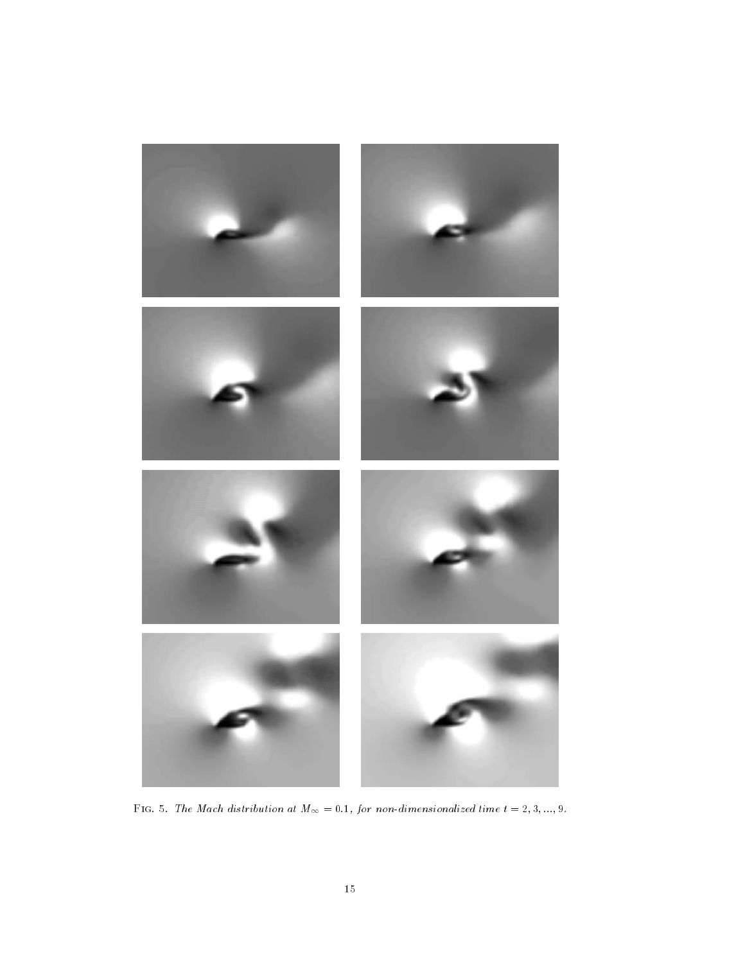

 $\mathbf{r}$  for any matrix at Machine at M  $\mathbf{r}$  ,  $\mathbf{r}$  ,  $\mathbf{r}$  ,  $\mathbf{r}$  ,  $\mathbf{r}$  ,  $\mathbf{r}$  ,  $\mathbf{r}$  ,  $\mathbf{r}$  ,  $\mathbf{r}$  ,  $\mathbf{r}$  ,  $\mathbf{r}$  ,  $\mathbf{r}$  ,  $\mathbf{r}$  ,  $\mathbf{r}$  ,  $\mathbf{r}$  ,  $\mathbf{r}$  ,  $\mathbf{$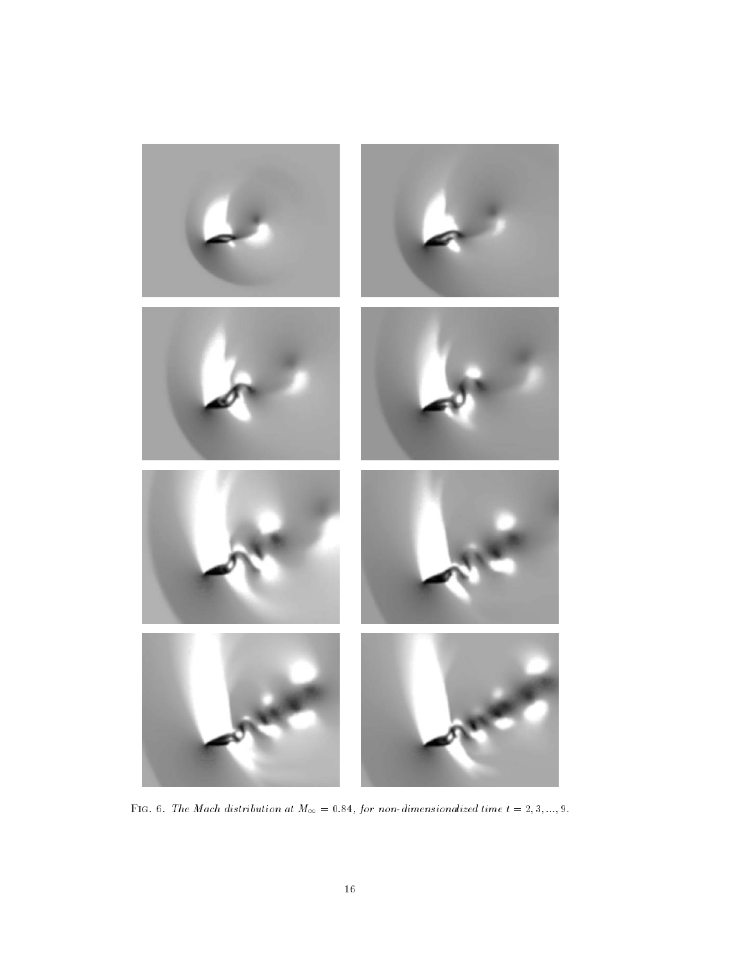

 $\mathcal{I}$  for any machinesis at M  $\mathcal{I}^{(n)}$  and  $\mathcal{I}^{(n)}$  are non-dimensionalized time to  $\mathcal{I}^{(n)}$  . Then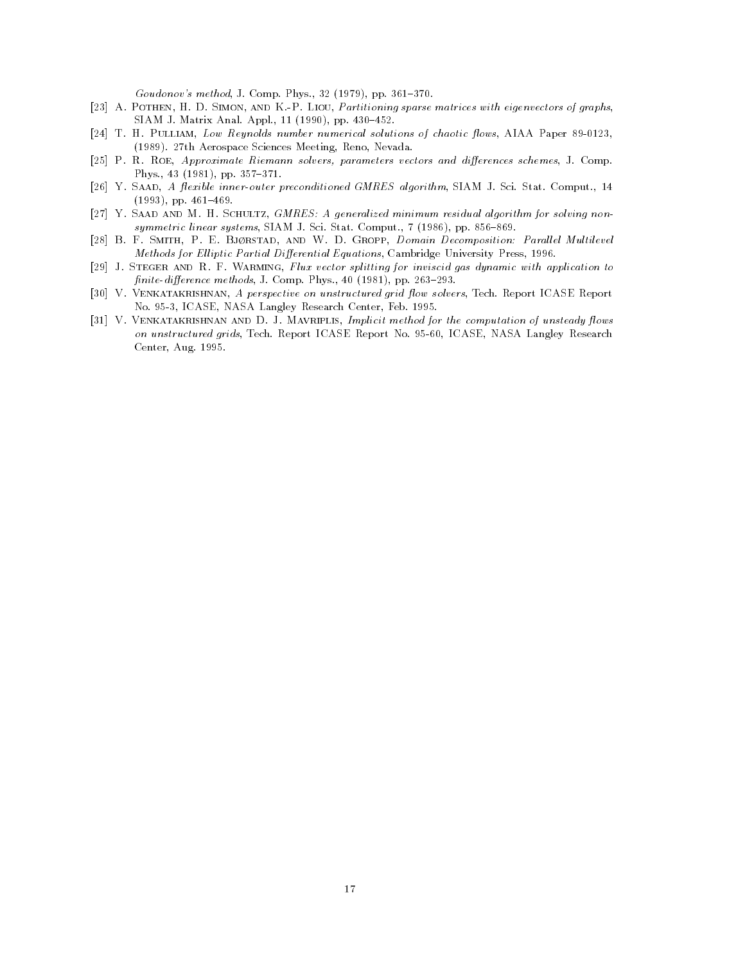$\mathcal{L} = \{ \mathcal{L} = \mathcal{L} \}$  . The proposition of the set of the set of the set of the set of the set of the set of the set of the set of the set of the set of the set of the set of the set of the set of the set of the set

- [23] A. POTHEN, H. D. SIMON, AND K.-P. LIOU, Partitioning sparse matrices with eigenvectors of graphs, SIAM J- Matrix Anal- Appl- pp- 

 -
- T Pulliam Low Research Residence in Motor number number of chaotic  $\lambda$  and chaotic algebra at the solution  $\mathcal{N}$  - are the Aerospace Sciences Meeting Reno New  $\mathcal{N}$
- P R Roe Approximate Riemann solvers parameters vectors and di erences schemes J- Comp-Phys- 
 pp-  -
- $\mathcal{A}$  . The inner outer preconditioned GMRES algorithm SIAM J-state-state-state-state-state-state-state-state-state-state-state-state-state-state-state-state-state-state-state-state-state-state-state-state-state-state-, - - - - , , pp. - - - - - - .
- [27] Y. SAAD AND M. H. SCHULTZ, GMRES: A generalized minimum residual algorithm for solving nonsymmetric intent systems; watana it was want to anapwrite (are systems). Provide the
- [28] B. F. SMITH, P. E. BJØRSTAD, AND W. D. GROPP, Domain Decomposition: Parallel Multilevel methods for Eliptic Partial Districts Partial Districts Partial Districts Partial Districts Press Press Press
- [29] J. STEGER AND R. F. WARMING, Flux vector splitting for inviscid gas dynamic with application to nited and the component of the component of the component of the component of the component of the component of
- , ver a perspective on the perspective on unstructured grad fraction, we are personal techno-kanada langley Research Center Feb-University Research Center Feb-University Research Center Feb-University
- val and <del>December 200</del> vents in D J Marriett method for the computation for the computation of unsteady fix as on unstructured grids Tech- $\alpha$  Research ICASE Research No-Research No-Research No-Research No-Research No-Research No-Research No-Research No-Research No-Research No-Research No-Research No-Research No-Research No-Resear Center Aug- -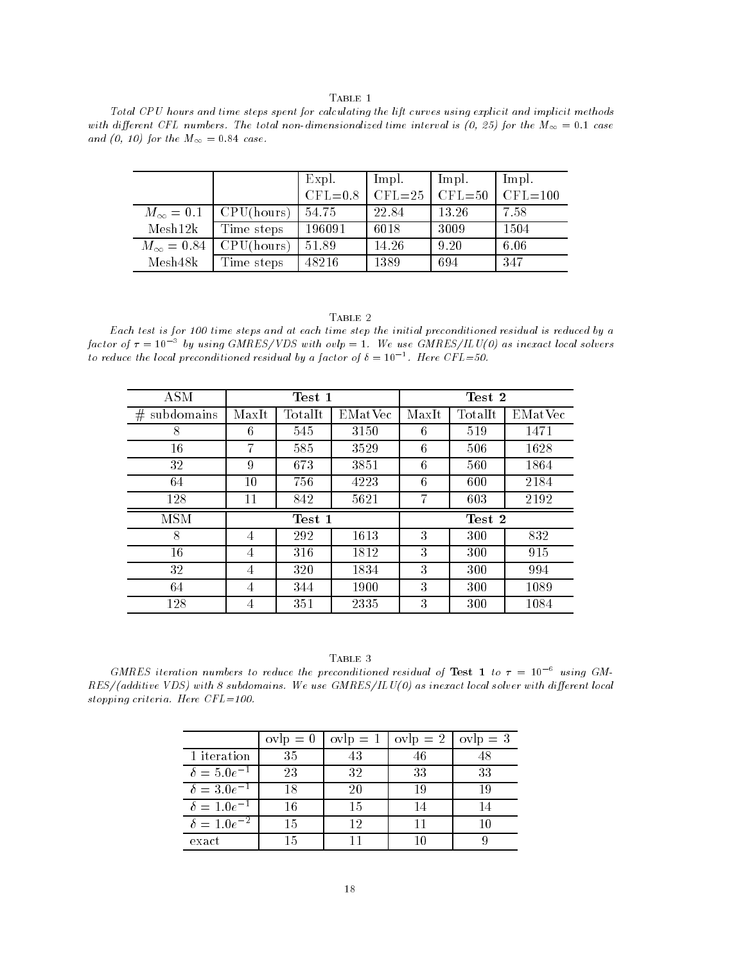${\rm Table}~1$ 

Total CPU hours and time steps spent for calculating the lift curves using explicit and implicit methods with a  $y$  created time is to the total interval interval is the main is the  $y$  and  $y$  are the M  $\sim$ and (0, 10) for the  $M_{\infty} = 0.84$  case.

|                   |            | Expl.<br>$CFL = 0.8$ | lmpl.<br>$ICFL=25$ | lmpl.<br>$CFL = 50$ | Impl.<br>$CFL = 100$ |
|-------------------|------------|----------------------|--------------------|---------------------|----------------------|
| $M_{\infty}=0.1$  | CPU(hours) | 54.75                | 22.84              | 13.26               | 7.58                 |
| Mesh12k           | Time steps | 196091               | 6018               | 3009                | 1504                 |
| $M_{\infty}=0.84$ | CPU(hours) | 51.89                | 14.26              | 9.20                | 6.06                 |
| Mesh48k           | Time steps | 48216                | 1389               | 694                 | 347                  |

#### TABLE 2

Each test is for 100 time steps and at each time step the initial preconditioned residual is reduced by a factor of  $\tau=$  10  $^-$  by using GMRES/VDS with ovlp  $=$  1. We use GMRES/ILU(0) as inexact local solvers to reduce the local preconditioned residual by a factor of  $\mathfrak{o}=10^{-+}$ . Here UFL=50.

| <b>ASM</b>      | Test 1 |                          |         | Test 2 |         |         |
|-----------------|--------|--------------------------|---------|--------|---------|---------|
| subdomains<br># | MaxIt  | $\operatorname{TotalIt}$ | EMatVec | MaxIt  | TotalIt | EMatVec |
| 8               | 6      | 545                      | 3150    | 6      | 519     | 1471    |
| 16              | 7      | 585                      | 3529    | 6      | 506     | 1628    |
| 32              | 9      | 673                      | 3851    | 6      | 560     | 1864    |
| 64              | 10     | 756                      | 4223    | 6      | 600     | 2184    |
| 128             | 11     | 842                      | 5621    | 7      | 603     | 2192    |
| MSM             |        | Test 1                   |         | Test 2 |         |         |
| 8               | 4      | 292                      | 1613    | 3      | 300     | 832     |
| 16              | 4      | 316                      | 1812    | 3      | 300     | 915     |
| 32              | 4      | 320                      | 1834    | 3      | 300     | 994     |
| 64              | 4      | 344                      | 1900    | 3      | 300     | 1089    |
| 128             | 4      | 351                      | 2335    | 3      | 300     | 1084    |

| Table |  |  |
|-------|--|--|
|       |  |  |

GMRES iteration numbers to reduce the preconditioned residual of Test 1 to  $\tau = 10^{-6}$  using GMresad i as interested with a contract local solver with a substantial solver with a solver with displayment of stopping criteria- Here CFL

-

|                      | $ovlp = 0$ | $ovlp = 1$ | $ovlp = 2$ | $ovlp = 3$ |
|----------------------|------------|------------|------------|------------|
| 1 iteration          | 35         |            |            |            |
| $\delta = 5.0e^{-1}$ | 23         | 32         | 33         | 33         |
| $\delta = 3.0e^{-1}$ | 18         | 20         | 19         | 19         |
| $\delta = 1.0e^{-1}$ | 16         | 15         |            |            |
| $\delta = 1.0e^{-2}$ | 15         | 12         |            |            |
| exact                | 15         |            |            |            |